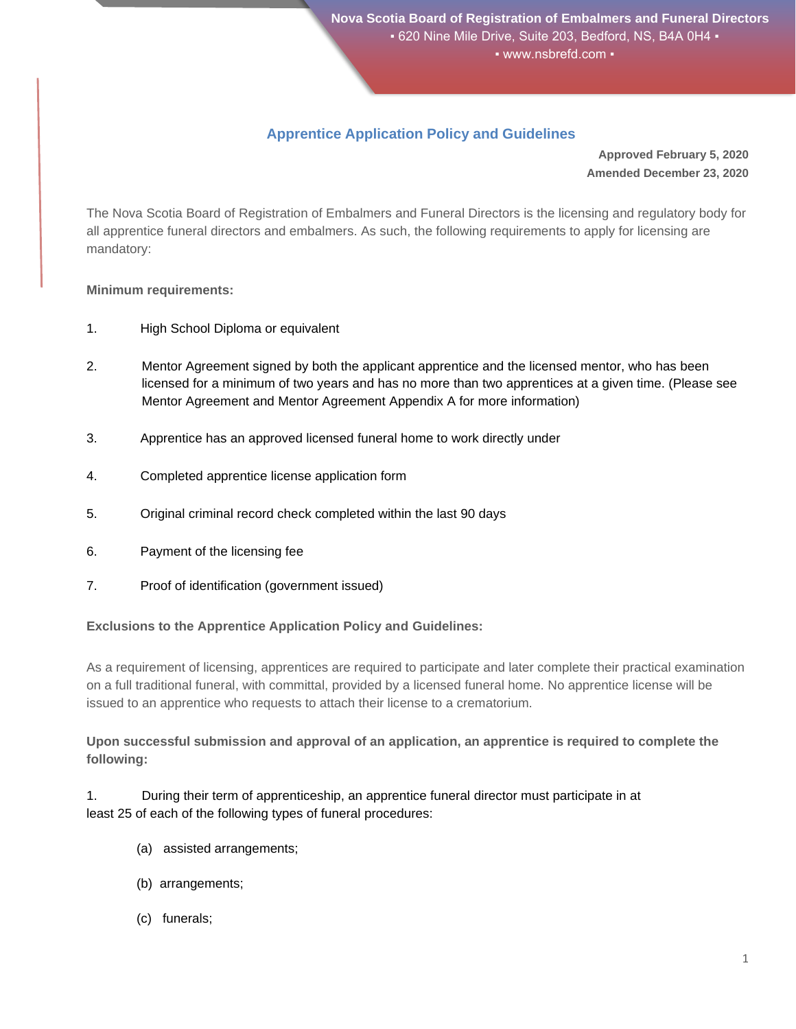## **Apprentice Application Policy and Guidelines**

**Approved February 5, 2020 Amended December 23, 2020**

The Nova Scotia Board of Registration of Embalmers and Funeral Directors is the licensing and regulatory body for all apprentice funeral directors and embalmers. As such, the following requirements to apply for licensing are mandatory:

## **Minimum requirements:**

- 1. High School Diploma or equivalent
- 2. Mentor Agreement signed by both the applicant apprentice and the licensed mentor, who has been licensed for a minimum of two years and has no more than two apprentices at a given time. (Please see Mentor Agreement and Mentor Agreement Appendix A for more information)
- 3. Apprentice has an approved licensed funeral home to work directly under
- 4. Completed apprentice license application form
- 5. Original criminal record check completed within the last 90 days
- 6. Payment of the licensing fee
- 7. Proof of identification (government issued)

**Exclusions to the Apprentice Application Policy and Guidelines:**

As a requirement of licensing, apprentices are required to participate and later complete their practical examination on a full traditional funeral, with committal, provided by a licensed funeral home. No apprentice license will be issued to an apprentice who requests to attach their license to a crematorium.

**Upon successful submission and approval of an application, an apprentice is required to complete the following:**

1. During their term of apprenticeship, an apprentice funeral director must participate in at least 25 of each of the following types of funeral procedures:

- (a) assisted arrangements;
- (b) arrangements;
- (c) funerals;